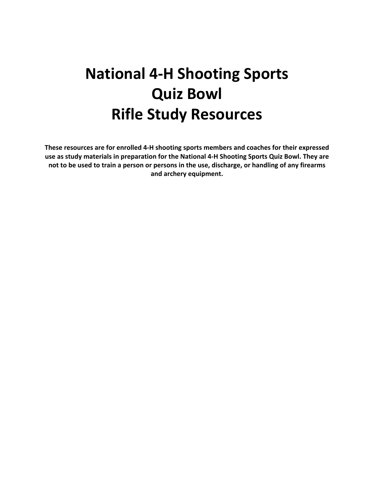# **National 4-H Shooting Sports Quiz Bowl Rifle Study Resources**

**These resources are for enrolled 4-H shooting sports members and coaches for their expressed use as study materials in preparation for the National 4-H Shooting Sports Quiz Bowl. They are not to be used to train a person or persons in the use, discharge, or handling of any firearms and archery equipment.**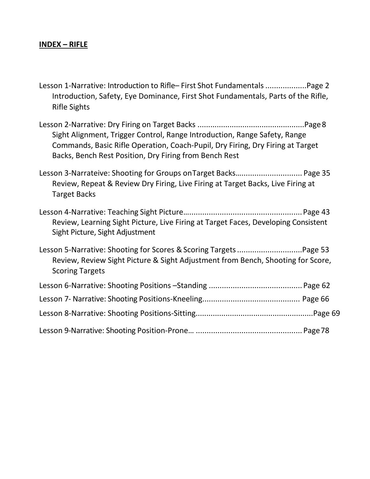# **INDEX – RIFLE**

| Lesson 1-Narrative: Introduction to Rifle-First Shot Fundamentals  Page 2         |  |
|-----------------------------------------------------------------------------------|--|
| Introduction, Safety, Eye Dominance, First Shot Fundamentals, Parts of the Rifle, |  |
| <b>Rifle Sights</b>                                                               |  |

Lesson 2-Narrative: Dry Firing on Target Backs ..................................................Page8 Sight Alignment, Trigger Control, Range Introduction, Range Safety, Range Commands, Basic Rifle Operation, Coach-Pupil, Dry Firing, Dry Firing at Target Backs, Bench Rest Position, Dry Firing from Bench Rest

Lesson 3-Narrateive: Shooting for Groups onTarget Backs…............................ Page 35 Review, Repeat & Review Dry Firing, Live Firing at Target Backs, Live Firing at Target Backs

Lesson 4-Narrative: Teaching Sight Picture…....................................................Page 43 Review, Learning Sight Picture, Live Firing at Target Faces, Developing Consistent Sight Picture, Sight Adjustment

Lesson 5-Narrative: Shooting for Scores & Scoring Targets..................................Page 53 Review, Review Sight Picture & Sight Adjustment from Bench, Shooting for Score, Scoring Targets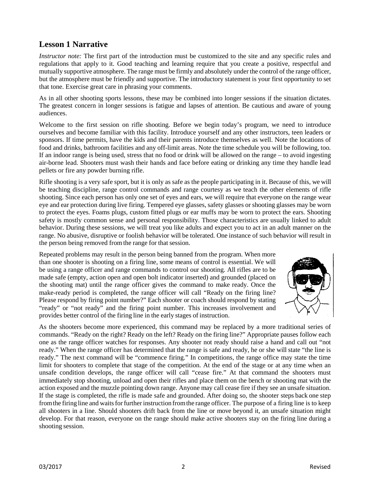# **Lesson 1 Narrative**

*Instructor note:* The first part of the introduction must be customized to the site and any specific rules and regulations that apply to it. Good teaching and learning require that you create a positive, respectful and mutually supportive atmosphere. The range must be firmly and absolutely under the control of the range officer, but the atmosphere must be friendly and supportive. The introductory statement is your first opportunity to set that tone. Exercise great care in phrasing your comments.

As in all other shooting sports lessons, these may be combined into longer sessions if the situation dictates. The greatest concern in longer sessions is fatigue and lapses of attention. Be cautious and aware of young audiences.

Welcome to the first session on rifle shooting. Before we begin today's program, we need to introduce ourselves and become familiar with this facility. Introduce yourself and any other instructors, teen leaders or sponsors. If time permits, have the kids and their parents introduce themselves as well. Note the locations of food and drinks, bathroom facilities and any off-limit areas. Note the time schedule you will be following, too. If an indoor range is being used, stress that no food or drink will be allowed on the range – to avoid ingesting air-borne lead. Shooters must wash their hands and face before eating or drinking any time they handle lead pellets or fire any powder burning rifle.

Rifle shooting is a very safe sport, but it is only as safe as the people participating in it. Because of this, we will be teaching discipline, range control commands and range courtesy as we teach the other elements of rifle shooting. Since each person has only one set of eyes and ears, we will require that everyone on the range wear eye and ear protection during live firing. Tempered eye glasses, safety glasses or shooting glasses may be worn to protect the eyes. Foams plugs, custom fitted plugs or ear muffs may be worn to protect the ears. Shooting safety is mostly common sense and personal responsibility. Those characteristics are usually linked to adult behavior. During these sessions, we will treat you like adults and expect you to act in an adult manner on the range. No abusive, disruptive or foolish behavior will be tolerated. One instance of such behavior will result in the person being removed fromthe range for that session.

Repeated problems may result in the person being banned from the program. When more than one shooter is shooting on a firing line, some means of control is essential. We will be using a range officer and range commands to control our shooting. All rifles are to be made safe (empty, action open and open bolt indicator inserted) and grounded (placed on the shooting mat) until the range officer gives the command to make ready. Once the make-ready period is completed, the range officer will call "Ready on the firing line? Please respond by firing point number?" Each shooter or coach should respond by stating "ready" or "not ready" and the firing point number. This increases involvement and provides better control of the firing line in the early stages of instruction.



As the shooters become more experienced, this command may be replaced by a more traditional series of commands. "Ready on the right? Ready on the left? Ready on the firing line?" Appropriate pauses follow each one as the range officer watches for responses. Any shooter not ready should raise a hand and call out "not ready." When the range officer has determined that the range is safe and ready, he or she will state "the line is ready." The next command will be "commence firing." In competitions, the range office may state the time limit for shooters to complete that stage of the competition. At the end of the stage or at any time when an unsafe condition develops, the range officer will call "cease fire." At that command the shooters must immediately stop shooting, unload and open their rifles and place them on the bench or shooting mat with the action exposed and the muzzle pointing down range. Anyone may call cease fire if they see an unsafe situation. If the stage is completed, the rifle is made safe and grounded. After doing so, the shooter steps back one step from the firing line and waits for further instruction from the range officer. The purpose of a firing line is to keep all shooters in a line. Should shooters drift back from the line or move beyond it, an unsafe situation might develop. For that reason, everyone on the range should make active shooters stay on the firing line during a shooting session.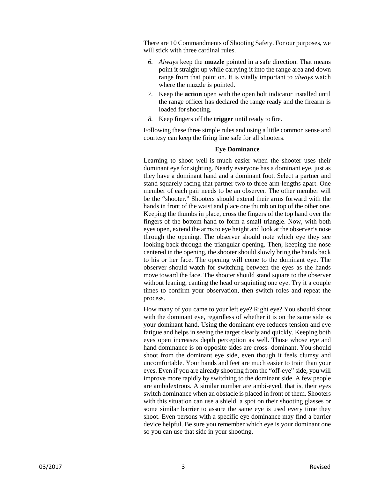There are 10 Commandments of Shooting Safety. For our purposes, we will stick with three cardinal rules.

- *6. Always* keep the **muzzle** pointed in a safe direction. That means point it straight up while carrying it into the range area and down range from that point on. It is vitally important to *always* watch where the muzzle is pointed.
- *7.* Keep the **action** open with the open bolt indicator installed until the range officer has declared the range ready and the firearm is loaded for shooting.
- *8.* Keep fingers off the **trigger** until ready to fire.

Following these three simple rules and using a little common sense and courtesy can keep the firing line safe for all shooters.

#### **Eye Dominance**

Learning to shoot well is much easier when the shooter uses their dominant eye for sighting. Nearly everyone has a dominant eye, just as they have a dominant hand and a dominant foot. Select a partner and stand squarely facing that partner two to three arm-lengths apart. One member of each pair needs to be an observer. The other member will be the "shooter." Shooters should extend their arms forward with the hands in front of the waist and place one thumb on top of the other one. Keeping the thumbs in place, cross the fingers of the top hand over the fingers of the bottom hand to form a small triangle. Now, with both eyes open, extend the arms to eye height and look at the observer's nose through the opening. The observer should note which eye they see looking back through the triangular opening. Then, keeping the nose centered in the opening, the shooter should slowly bring the hands back to his or her face. The opening will come to the dominant eye. The observer should watch for switching between the eyes as the hands move toward the face. The shooter should stand square to the observer without leaning, canting the head or squinting one eye. Try it a couple times to confirm your observation, then switch roles and repeat the process.

How many of you came to your left eye? Right eye? You should shoot with the dominant eye, regardless of whether it is on the same side as your dominant hand. Using the dominant eye reduces tension and eye fatigue and helps in seeing the target clearly and quickly. Keeping both eyes open increases depth perception as well. Those whose eye and hand dominance is on opposite sides are cross- dominant. You should shoot from the dominant eye side, even though it feels clumsy and uncomfortable. Your hands and feet are much easier to train than your eyes. Even if you are already shooting from the "off-eye" side, you will improve more rapidly by switching to the dominant side. A few people are ambidextrous. A similar number are ambi-eyed, that is, their eyes switch dominance when an obstacle is placed in front of them. Shooters with this situation can use a shield, a spot on their shooting glasses or some similar barrier to assure the same eye is used every time they shoot. Even persons with a specific eye dominance may find a barrier device helpful. Be sure you remember which eye is your dominant one so you can use that side in your shooting.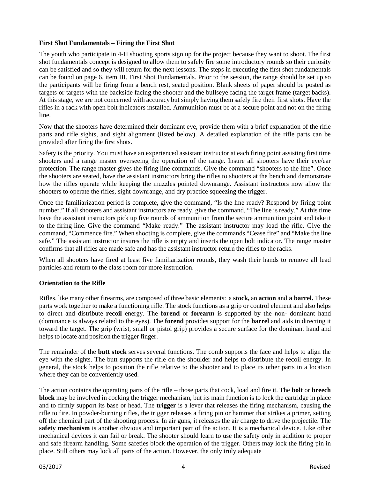#### **First Shot Fundamentals – Firing the First Shot**

The youth who participate in 4-H shooting sports sign up for the project because they want to shoot. The first shot fundamentals concept is designed to allow them to safely fire some introductory rounds so their curiosity can be satisfied and so they will return for the next lessons. The steps in executing the first shot fundamentals can be found on page 6, item III. First Shot Fundamentals. Prior to the session, the range should be set up so the participants will be firing from a bench rest, seated position. Blank sheets of paper should be posted as targets or targets with the backside facing the shooter and the bullseye facing the target frame (target backs). At this stage, we are not concerned with accuracy but simply having them safely fire their first shots. Have the rifles in a rack with open bolt indicators installed. Ammunition must be at a secure point and not on the firing line.

Now that the shooters have determined their dominant eye, provide them with a brief explanation of the rifle parts and rifle sights, and sight alignment (listed below). A detailed explanation of the rifle parts can be provided after firing the first shots.

Safety is the priority. You must have an experienced assistant instructor at each firing point assisting first time shooters and a range master overseeing the operation of the range. Insure all shooters have their eye/ear protection. The range master gives the firing line commands. Give the command "shooters to the line". Once the shooters are seated, have the assistant instructors bring the rifles to shooters at the bench and demonstrate how the rifles operate while keeping the muzzles pointed downrange. Assistant instructors now allow the shooters to operate the rifles, sight downrange, and dry practice squeezing the trigger.

Once the familiarization period is complete, give the command, "Is the line ready? Respond by firing point number." If all shooters and assistant instructors are ready, give the command, "The line is ready." At this time have the assistant instructors pick up five rounds of ammunition from the secure ammunition point and take it to the firing line. Give the command "Make ready." The assistant instructor may load the rifle. Give the command, "Commence fire." When shooting is complete, give the commands "Cease fire" and "Make the line safe." The assistant instructor insures the rifle is empty and inserts the open bolt indicator. The range master confirms that all rifles are made safe and has the assistant instructor return the rifles to the racks.

When all shooters have fired at least five familiarization rounds, they wash their hands to remove all lead particles and return to the class room for more instruction.

#### **Orientation to the Rifle**

Rifles, like many other firearms, are composed of three basic elements: a **stock,** an **action** and **a barrel.** These parts work together to make a functioning rifle. The stock functions as a grip or control element and also helps to direct and distribute **recoil** energy. The **forend** or **forearm** is supported by the non- dominant hand (dominance is always related to the eyes). The **forend** provides support for the **barrel** and aids in directing it toward the target. The grip (wrist, small or pistol grip) provides a secure surface for the dominant hand and helps to locate and position the trigger finger.

The remainder of the **butt stock** serves several functions. The comb supports the face and helps to align the eye with the sights. The butt supports the rifle on the shoulder and helps to distribute the recoil energy. In general, the stock helps to position the rifle relative to the shooter and to place its other parts in a location where they can be conveniently used.

The action contains the operating parts of the rifle – those parts that cock, load and fire it. The **bolt** or **breech block** may be involved in cocking the trigger mechanism, but its main function is to lock the cartridge in place and to firmly support its base or head. The **trigger** is a lever that releases the firing mechanism, causing the rifle to fire. In powder-burning rifles, the trigger releases a firing pin or hammer that strikes a primer, setting off the chemical part of the shooting process. In air guns, it releases the air charge to drive the projectile. The **safety mechanism** is another obvious and important part of the action. It is a mechanical device. Like other mechanical devices it can fail or break. The shooter should learn to use the safety only in addition to proper and safe firearm handling. Some safeties block the operation of the trigger. Others may lock the firing pin in place. Still others may lock all parts of the action. However, the only truly adequate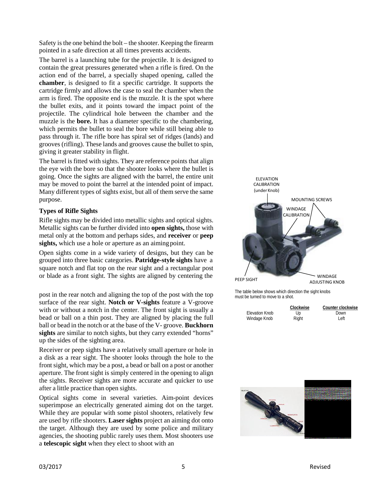Safety is the one behind the bolt – the shooter. Keeping the firearm pointed in a safe direction at all times prevents accidents.

The barrel is a launching tube for the projectile. It is designed to contain the great pressures generated when a rifle is fired. On the action end of the barrel, a specially shaped opening, called the **chamber**, is designed to fit a specific cartridge. It supports the cartridge firmly and allows the case to seal the chamber when the arm is fired. The opposite end is the muzzle. It is the spot where the bullet exits, and it points toward the impact point of the projectile. The cylindrical hole between the chamber and the muzzle is the **bore.** It has a diameter specific to the chambering, which permits the bullet to seal the bore while still being able to pass through it. The rifle bore has spiral set of ridges (lands) and grooves (rifling). These lands and grooves cause the bullet to spin, giving it greater stability in flight.

The barrel is fitted with sights. They are reference points that align the eye with the bore so that the shooter looks where the bullet is going. Once the sights are aligned with the barrel, the entire unit may be moved to point the barrel at the intended point of impact. Many different types of sights exist, but all of them serve the same purpose.

#### **Types of Rifle Sights**

Rifle sights may be divided into metallic sights and optical sights. Metallic sights can be further divided into **open sights,** those with metal only at the bottom and perhaps sides, and **receiver** or **peep**  sights, which use a hole or aperture as an aiming point.

Open sights come in a wide variety of designs, but they can be grouped into three basic categories. **Patridge-style sights** have a square notch and flat top on the rear sight and a rectangular post or blade as a front sight. The sights are aligned by centering the

post in the rear notch and aligning the top of the post with the top surface of the rear sight. **Notch or V-sights** feature a V-groove with or without a notch in the center. The front sight is usually a bead or ball on a thin post. They are aligned by placing the full ball or bead in the notch or at the base of the V- groove. **Buckhorn sights** are similar to notch sights, but they carry extended "horns" up the sides of the sighting area.

Receiver or peep sights have a relatively small aperture or hole in a disk as a rear sight. The shooter looks through the hole to the front sight, which may be a post, a bead or ball on a post or another aperture. The front sight is simply centered in the opening to align the sights. Receiver sights are more accurate and quicker to use after a little practice than open sights.

Optical sights come in several varieties. Aim-point devices superimpose an electrically generated aiming dot on the target. While they are popular with some pistol shooters, relatively few are used by rifle shooters. **Laser sights** project an aiming dot onto the target. Although they are used by some police and military agencies, the shooting public rarely uses them. Most shooters use a **telescopic sight** when they elect to shoot with an



The table below shows which direction the sight knobs must be turned to move to a shot.

|                | Clockwise | Counter clockwise |
|----------------|-----------|-------------------|
| Elevation Knob | Up        | Down              |
| Windage Knob   | Right     | Left              |

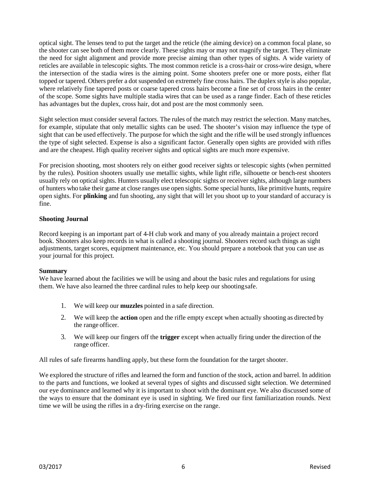optical sight. The lenses tend to put the target and the reticle (the aiming device) on a common focal plane, so the shooter can see both of them more clearly. These sights may or may not magnify the target. They eliminate the need for sight alignment and provide more precise aiming than other types of sights. A wide variety of reticles are available in telescopic sights. The most common reticle is a cross-hair or cross-wire design, where the intersection of the stadia wires is the aiming point. Some shooters prefer one or more posts, either flat topped or tapered. Others prefer a dot suspended on extremely fine cross hairs. The duplex style is also popular, where relatively fine tapered posts or coarse tapered cross hairs become a fine set of cross hairs in the center of the scope. Some sights have multiple stadia wires that can be used as a range finder. Each of these reticles has advantages but the duplex, cross hair, dot and post are the most commonly seen.

Sight selection must consider several factors. The rules of the match may restrict the selection. Many matches, for example, stipulate that only metallic sights can be used. The shooter's vision may influence the type of sight that can be used effectively. The purpose for which the sight and the rifle will be used strongly influences the type of sight selected. Expense is also a significant factor. Generally open sights are provided with rifles and are the cheapest. High quality receiver sights and optical sights are much more expensive.

For precision shooting, most shooters rely on either good receiver sights or telescopic sights (when permitted by the rules). Position shooters usually use metallic sights, while light rifle, silhouette or bench-rest shooters usually rely on optical sights. Hunters usually elect telescopic sights or receiver sights, although large numbers of hunters who take their game at close ranges use open sights. Some special hunts, like primitive hunts, require open sights. For **plinking** and fun shooting, any sight that will let you shoot up to your standard of accuracy is fine.

#### **Shooting Journal**

Record keeping is an important part of 4-H club work and many of you already maintain a project record book. Shooters also keep records in what is called a shooting journal. Shooters record such things as sight adjustments, target scores, equipment maintenance, etc. You should prepare a notebook that you can use as your journal for this project.

#### **Summary**

We have learned about the facilities we will be using and about the basic rules and regulations for using them. We have also learned the three cardinal rules to help keep our shootingsafe.

- 1. We will keep our **muzzles** pointed in a safe direction.
- 2. We will keep the **action** open and the rifle empty except when actually shooting as directed by the range officer.
- 3. We will keep our fingers off the **trigger** except when actually firing under the direction of the range officer.

All rules of safe firearms handling apply, but these form the foundation for the target shooter.

We explored the structure of rifles and learned the form and function of the stock, action and barrel. In addition to the parts and functions, we looked at several types of sights and discussed sight selection. We determined our eye dominance and learned why it is important to shoot with the dominant eye. We also discussed some of the ways to ensure that the dominant eye is used in sighting. We fired our first familiarization rounds. Next time we will be using the rifles in a dry-firing exercise on the range.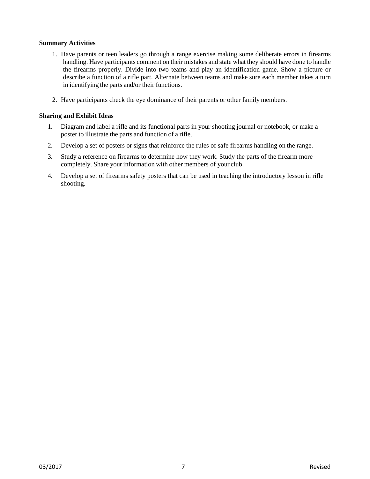#### **Summary Activities**

- 1. Have parents or teen leaders go through a range exercise making some deliberate errors in firearms handling. Have participants comment on their mistakes and state what they should have done to handle the firearms properly. Divide into two teams and play an identification game. Show a picture or describe a function of a rifle part. Alternate between teams and make sure each member takes a turn in identifying the parts and/or their functions.
- 2. Have participants check the eye dominance of their parents or other family members.

- 1. Diagram and label a rifle and its functional parts in your shooting journal or notebook, or make a poster to illustrate the parts and function of a rifle.
- 2. Develop a set of posters or signs that reinforce the rules of safe firearms handling on the range.
- 3. Study a reference on firearms to determine how they work. Study the parts of the firearm more completely. Share your information with other members of your club.
- 4. Develop a set of firearms safety posters that can be used in teaching the introductory lesson in rifle shooting.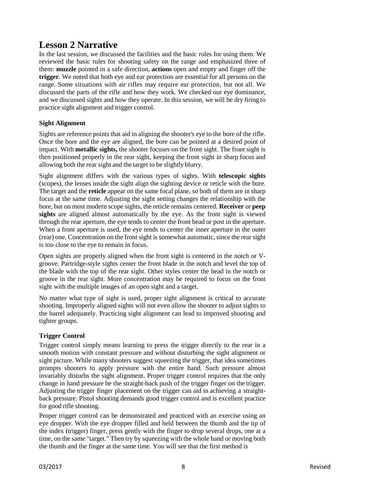# **Lesson 2 Narrative**

In the last session, we discussed the facilities and the basic rules for using them. We reviewed the basic rules for shooting safety on the range and emphasized three of them: **muzzle** pointed in a safe direction, **actions** open and empty and finger off the **trigger**. We noted that both eye and ear protection are essential for all persons on the range. Some situations with air rifles may require ear protection, but not all. We discussed the parts of the rifle and how they work. We checked our eye dominance, and we discussed sights and how they operate. In this session, we will be dry firing to practice sight alignment and trigger control.

# **Sight Alignment**

Sights are reference points that aid in aligning the shooter's eye to the bore of the rifle. Once the bore and the eye are aligned, the bore can be pointed at a desired point of impact. With **metallic sights,** the shooter focuses on the front sight. The front sight is then positioned properly in the rear sight, keeping the front sight in sharp focus and allowing both the rear sight and the target to be slightly blurry.

Sight alignment differs with the various types of sights. With **telescopic sights**  (scopes), the lenses inside the sight align the sighting device or reticle with the bore. The target and the **reticle** appear on the same focal plane, so both of them are in sharp focus at the same time. Adjusting the sight setting changes the relationship with the bore, but on most modern scope sights, the reticle remains centered. **Receiver** or **peep sights** are aligned almost automatically by the eye. As the front sight is viewed through the rear aperture, the eye tends to center the front bead or post in the aperture. When a front aperture is used, the eye tends to center the inner aperture in the outer (rear) one. Concentration on the front sight is somewhat automatic, since the rear sight is too close to the eye to remain in focus.

Open sights are properly aligned when the front sight is centered in the notch or Vgroove. Partridge-style sights center the front blade in the notch and level the top of the blade with the top of the rear sight. Other styles center the bead in the notch or groove in the rear sight. More concentration may be required to focus on the front sight with the multiple images of an open sight and a target.

No matter what type of sight is used, proper sight alignment is critical to accurate shooting. Improperly aligned sights will not even allow the shooter to adjust sights to the barrel adequately. Practicing sight alignment can lead to improved shooting and tighter groups.

## **Trigger Control**

Trigger control simply means learning to press the trigger directly to the rear in a smooth motion with constant pressure and without disturbing the sight alignment or sight picture. While many shooters suggest squeezing the trigger, that idea sometimes prompts shooters to apply pressure with the entire hand. Such pressure almost invariably disturbs the sight alignment. Proper trigger control requires that the only change in hand pressure be the straight-back push of the trigger finger on the trigger. Adjusting the trigger finger placement on the trigger can aid in achieving a straightback pressure. Pistol shooting demands good trigger control and is excellent practice for good rifle shooting.

Proper trigger control can be demonstrated and practiced with an exercise using an eye dropper. With the eye dropper filled and held between the thumb and the tip of the index (trigger) finger, press gently with the finger to drop several drops, one at a time, on the same "target." Then try by squeezing with the whole hand or moving both the thumb and the finger at the same time. You will see that the first method is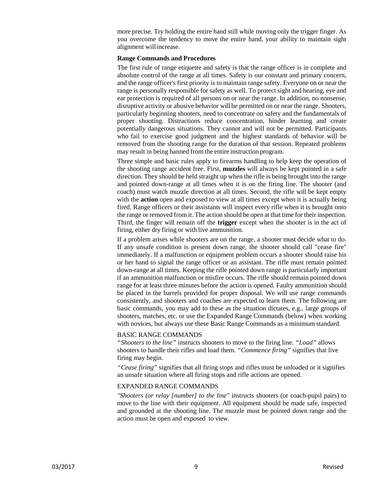more precise. Try holding the entire hand still while moving only the trigger finger. As you overcome the tendency to move the entire hand, your ability to maintain sight alignment willincrease.

#### **Range Commands and Procedures**

The first rule of range etiquette and safety is that the range officer is in complete and absolute control of the range at all times. Safety is our constant and primary concern, and the range officer's first priority is to maintain range safety. Everyone on or near the range is personally responsible for safety as well. To protect sight and hearing, eye and ear protection is required of all persons on or near the range. In addition, no nonsense, disruptive activity or abusive behavior will be permitted on or near the range. Shooters, particularly beginning shooters, need to concentrate on safety and the fundamentals of proper shooting. Distractions reduce concentration, hinder learning and create potentially dangerous situations. They cannot and will not be permitted. Participants who fail to exercise good judgment and the highest standards of behavior will be removed from the shooting range for the duration of that session. Repeated problems may result in being banned from the entire instruction program.

Three simple and basic rules apply to firearms handling to help keep the operation of the shooting range accident free. First, **muzzles** will always be kept pointed in a safe direction. They should be held straight up when the rifle is being brought into the range and pointed down-range at all times when it is on the firing line. The shooter (and coach) must watch muzzle direction at all times. Second, the rifle will be kept empty with the **action** open and exposed to view at all times except when it is actually being fired. Range officers or their assistants will inspect every rifle when it is brought onto the range or removed from it. The action should be open at that time for their inspection. Third, the finger will remain off the **trigger** except when the shooter is in the act of firing, either dry firing or with live ammunition.

If a problem arises while shooters are on the range, a shooter must decide what to do. If any unsafe condition is present down range, the shooter should call "cease fire" immediately. If a malfunction or equipment problem occurs a shooter should raise his or her hand to signal the range officer or an assistant. The rifle must remain pointed down-range at all times. Keeping the rifle pointed down range is particularly important if an ammunition malfunction or misfire occurs. The rifle should remain pointed down range for at least three minutes before the action is opened. Faulty ammunition should be placed in the barrels provided for proper disposal. We will use range commands consistently, and shooters and coaches are expected to learn them. The following are basic commands, you may add to these as the situation dictates, e.g., large groups of shooters, matches, etc. or use the Expanded Range Commands (below) when working with novices, but always use these Basic Range Commands as a minimum standard.

#### BASIC RANGE COMMANDS

*"Shooters to the line"* instructs shooters to move to the firing line. *"Load"* allows shooters to handle their rifles and load them. *"Commence firing"* signifies that live firing may begin.

*"Cease firing"* signifies that all firing stops and rifles must be unloaded or it signifies an unsafe situation where all firing stops and rifle actions are opened.

#### EXPANDED RANGE COMMANDS

*"Shooters (or relay [number] to the line"* instructs shooters (or coach-pupil pairs) to move to the line with their equipment. All equipment should be made safe, inspected and grounded at the shooting line. The muzzle must be pointed down range and the action must be open and exposed to view.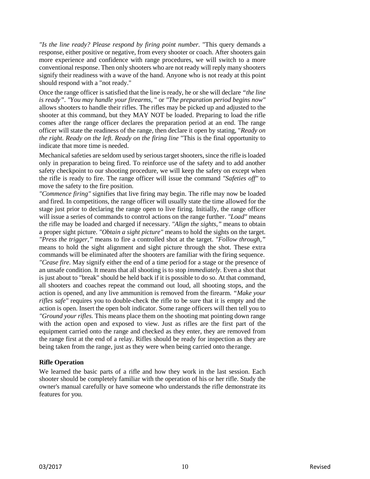*"Is the line ready? Please respond by firing point number.* "This query demands a response, either positive or negative, from every shooter or coach. After shooters gain more experience and confidence with range procedures, we will switch to a more conventional response. Then only shooters who are not ready will reply many shooters signify their readiness with a wave of the hand. Anyone who is not ready at this point should respond with a "not ready."

Once the range officer is satisfied that the line is ready, he or she will declare *"the line is ready"*. *"You may handle your firearms,* " or *"The preparation period begins now"*  allows shooters to handle their rifles. The rifles may be picked up and adjusted to the shooter at this command, but they MAY NOT be loaded. Preparing to load the rifle comes after the range officer declares the preparation period at an end. The range officer will state the readiness of the range, then declare it open by stating, "*Ready on the right. Ready on the left. Ready on the firing line* "This is the final opportunity to indicate that more time is needed.

Mechanical safeties are seldom used by serious target shooters, since the rifle is loaded only in preparation to being fired. To reinforce use of the safety and to add another safety checkpoint to our shooting procedure, we will keep the safety on except when the rifle is ready to fire. The range officer will issue the command *"Safeties off"* to move the safety to the fire position.

*"Commence firing"* signifies that live firing may begin. The rifle may now be loaded and fired. In competitions, the range officer will usually state the time allowed for the stage just prior to declaring the range open to live firing. Initially, the range officer will issue a series of commands to control actions on the range further. *"Load"* means the rifle may be loaded and charged if necessary. *"Align the sights,"* means to obtain a proper sight picture. *"Obtain a sight picture"* means to hold the sights on the target. *"Press the trigger,"* means to fire a controlled shot at the target. *"Follow through,"*  means to hold the sight alignment and sight picture through the shot. These extra commands will be eliminated after the shooters are familiar with the firing sequence. *"Cease fire.* May signify either the end of a time period for a stage or the presence of an unsafe condition. It means that all shooting is to stop *immediately.* Even a shot that is just about to "break" should be held back if it is possible to do so. At that command, all shooters and coaches repeat the command out loud, all shooting stops, and the action is opened, and any live ammunition is removed from the firearm. *"Make your rifles safe"* requires you to double-check the rifle to be sure that it is empty and the action is open. Insert the open bolt indicator. Some range officers will then tell you to *"Ground your rifles.* This means place them on the shooting mat pointing down range with the action open and exposed to view. Just as rifles are the first part of the equipment carried onto the range and checked as they enter, they are removed from the range first at the end of a relay. Rifles should be ready for inspection as they are being taken from the range, just as they were when being carried onto therange.

#### **Rifle Operation**

We learned the basic parts of a rifle and how they work in the last session. Each shooter should be completely familiar with the operation of his or her rifle. Study the owner's manual carefully or have someone who understands the rifle demonstrate its features for you.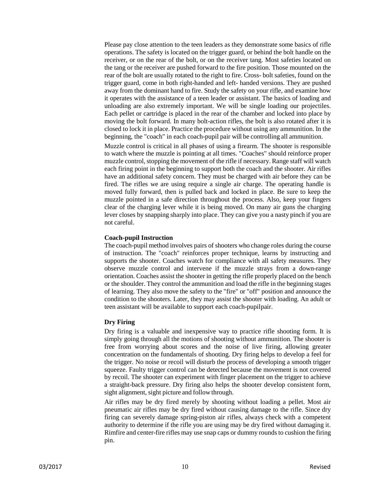Please pay close attention to the teen leaders as they demonstrate some basics of rifle operations. The safety is located on the trigger guard, or behind the bolt handle on the receiver, or on the rear of the bolt, or on the receiver tang. Most safeties located on the tang or the receiver are pushed forward to the fire position. Those mounted on the rear of the bolt are usually rotated to the right to fire. Cross- bolt safeties, found on the trigger guard, come in both right-handed and left- handed versions. They are pushed away from the dominant hand to fire. Study the safety on your rifle, and examine how it operates with the assistance of a teen leader or assistant. The basics of loading and unloading are also extremely important. We will be single loading our projectiles. Each pellet or cartridge is placed in the rear of the chamber and locked into place by moving the bolt forward. In many bolt-action rifles, the bolt is also rotated after it is closed to lock it in place. Practice the procedure without using any ammunition. In the beginning, the "coach" in each coach-pupil pair will be controlling all ammunition.

Muzzle control is critical in all phases of using a firearm. The shooter is responsible to watch where the muzzle is pointing at all times. "Coaches" should reinforce proper muzzle control, stopping the movement of the rifle if necessary. Range staff will watch each firing point in the beginning to support both the coach and the shooter. Air rifles have an additional safety concern. They must be charged with air before they can be fired. The rifles we are using require a single air charge. The operating handle is moved fully forward, then is pulled back and locked in place. Be sure to keep the muzzle pointed in a safe direction throughout the process. Also, keep your fingers clear of the charging lever while it is being moved. On many air guns the charging lever closes by snapping sharply into place. They can give you a nasty pinch if you are not careful.

#### **Coach-pupil Instruction**

The coach-pupil method involves pairs of shooters who change roles during the course of instruction. The "coach" reinforces proper technique, learns by instructing and supports the shooter. Coaches watch for compliance with all safety measures. They observe muzzle control and intervene if the muzzle strays from a down-range orientation. Coaches assist the shooter in getting the rifle properly placed on the bench or the shoulder. They control the ammunition and load the rifle in the beginning stages of learning. They also move the safety to the "fire" or "off" position and announce the condition to the shooters. Later, they may assist the shooter with loading. An adult or teen assistant will be available to support each coach-pupilpair.

#### **Dry Firing**

Dry firing is a valuable and inexpensive way to practice rifle shooting form. It is simply going through all the motions of shooting without ammunition. The shooter is free from worrying about scores and the noise of live firing, allowing greater concentration on the fundamentals of shooting. Dry firing helps to develop a feel for the trigger. No noise or recoil will disturb the process of developing a smooth trigger squeeze. Faulty trigger control can be detected because the movement is not covered by recoil. The shooter can experiment with finger placement on the trigger to achieve a straight-back pressure. Dry firing also helps the shooter develop consistent form, sight alignment, sight picture and follow through.

Air rifles may be dry fired merely by shooting without loading a pellet. Most air pneumatic air rifles may be dry fired without causing damage to the rifle. Since dry firing can severely damage spring-piston air rifles, always check with a competent authority to determine if the rifle you are using may be dry fired without damaging it. Rimfire and center-fire rifles may use snap caps or dummy rounds to cushion the firing pin.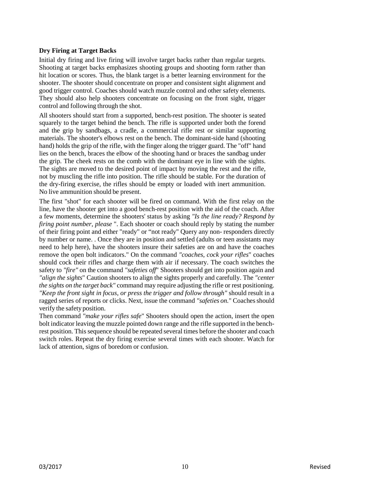#### **Dry Firing at Target Backs**

Initial dry firing and live firing will involve target backs rather than regular targets. Shooting at target backs emphasizes shooting groups and shooting form rather than hit location or scores. Thus, the blank target is a better learning environment for the shooter. The shooter should concentrate on proper and consistent sight alignment and good trigger control. Coaches should watch muzzle control and other safety elements. They should also help shooters concentrate on focusing on the front sight, trigger control and following through the shot.

All shooters should start from a supported, bench-rest position. The shooter is seated squarely to the target behind the bench. The rifle is supported under both the forend and the grip by sandbags, a cradle, a commercial rifle rest or similar supporting materials. The shooter's elbows rest on the bench. The dominant-side hand (shooting hand) holds the grip of the rifle, with the finger along the trigger guard. The "off" hand lies on the bench, braces the elbow of the shooting hand or braces the sandbag under the grip. The cheek rests on the comb with the dominant eye in line with the sights. The sights are moved to the desired point of impact by moving the rest and the rifle, not by muscling the rifle into position. The rifle should be stable. For the duration of the dry-firing exercise, the rifles should be empty or loaded with inert ammunition. No live ammunition should be present.

The first "shot" for each shooter will be fired on command. With the first relay on the line, have the shooter get into a good bench-rest position with the aid of the coach. After a few moments, determine the shooters' status by asking *"Is the line ready? Respond by firing point number, please* ". Each shooter or coach should reply by stating the number of their firing point and either "ready" or "not ready" Query any non- responders directly by number or name. . Once they are in position and settled (adults or teen assistants may need to help here), have the shooters insure their safeties are on and have the coaches remove the open bolt indicators." On the command *"coaches, cock your rifles*" coaches should cock their rifles and charge them with air if necessary. The coach switches the safety to *"fire"* on the command *"safeties off*" Shooters should get into position again and *"align the sights*" Caution shooters to align the sights properly and carefully. The *"center the sights on the target back"* command may require adjusting the rifle or rest positioning. *"Keep the front sight in focus, or press the trigger and follow through"* should result in a ragged series of reports or clicks. Next, issue the command "safeties on." Coaches should verify the safety position.

Then command *"make your rifles safe*" Shooters should open the action, insert the open bolt indicator leaving the muzzle pointed down range and the rifle supported in the benchrest position. This sequence should be repeated several times before the shooter and coach switch roles. Repeat the dry firing exercise several times with each shooter. Watch for lack of attention, signs of boredom or confusion.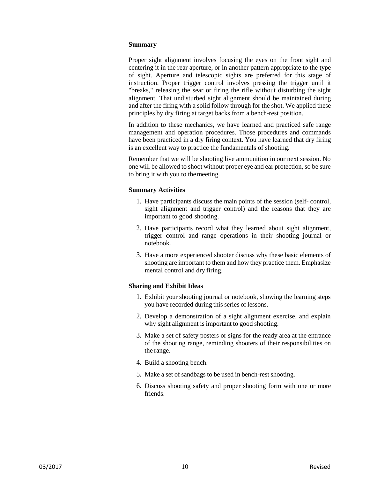#### **Summary**

Proper sight alignment involves focusing the eyes on the front sight and centering it in the rear aperture, or in another pattern appropriate to the type of sight. Aperture and telescopic sights are preferred for this stage of instruction. Proper trigger control involves pressing the trigger until it "breaks," releasing the sear or firing the rifle without disturbing the sight alignment. That undisturbed sight alignment should be maintained during and after the firing with a solid follow through for the shot. We applied these principles by dry firing at target backs from a bench-rest position.

In addition to these mechanics, we have learned and practiced safe range management and operation procedures. Those procedures and commands have been practiced in a dry firing context. You have learned that dry firing is an excellent way to practice the fundamentals of shooting.

Remember that we will be shooting live ammunition in our next session. No one will be allowed to shoot without proper eye and ear protection, so be sure to bring it with you to themeeting.

#### **Summary Activities**

- 1. Have participants discuss the main points of the session (self- control, sight alignment and trigger control) and the reasons that they are important to good shooting.
- 2. Have participants record what they learned about sight alignment, trigger control and range operations in their shooting journal or notebook.
- 3. Have a more experienced shooter discuss why these basic elements of shooting are important to them and how they practice them. Emphasize mental control and dry firing.

- 1. Exhibit your shooting journal or notebook, showing the learning steps you have recorded during this series of lessons.
- 2. Develop a demonstration of a sight alignment exercise, and explain why sight alignment is important to good shooting.
- 3. Make a set of safety posters or signs for the ready area at the entrance of the shooting range, reminding shooters of their responsibilities on the range.
- 4. Build a shooting bench.
- 5. Make a set of sandbags to be used in bench-rest shooting.
- 6. Discuss shooting safety and proper shooting form with one or more friends.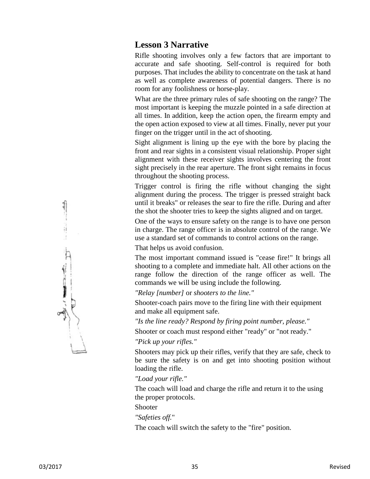# **Lesson 3 Narrative**

Rifle shooting involves only a few factors that are important to accurate and safe shooting. Self-control is required for both purposes. That includes the ability to concentrate on the task at hand as well as complete awareness of potential dangers. There is no room for any foolishness or horse-play.

What are the three primary rules of safe shooting on the range? The most important is keeping the muzzle pointed in a safe direction at all times. In addition, keep the action open, the firearm empty and the open action exposed to view at all times. Finally, never put your finger on the trigger until in the act of shooting.

Sight alignment is lining up the eye with the bore by placing the front and rear sights in a consistent visual relationship. Proper sight alignment with these receiver sights involves centering the front sight precisely in the rear aperture. The front sight remains in focus throughout the shooting process.

Trigger control is firing the rifle without changing the sight alignment during the process. The trigger is pressed straight back until it breaks" or releases the sear to fire the rifle. During and after the shot the shooter tries to keep the sights aligned and on target.

One of the ways to ensure safety on the range is to have one person in charge. The range officer is in absolute control of the range. We use a standard set of commands to control actions on the range.

That helps us avoid confusion.

The most important command issued is "cease fire!" It brings all shooting to a complete and immediate halt. All other actions on the range follow the direction of the range officer as well. The commands we will be using include the following.

*"Relay [number]* or *shooters to the line."*

Shooter-coach pairs move to the firing line with their equipment and make all equipment safe.

*"Is the line ready? Respond by firing point number, please."* 

Shooter or coach must respond either "ready" or "not ready."

*"Pick up your rifles."*

Shooters may pick up their rifles, verify that they are safe, check to be sure the safety is on and get into shooting position without loading the rifle.

*"Load your rifle."*

The coach will load and charge the rifle and return it to the using the proper protocols.

Shooter

*"Safeties off.*"

The coach will switch the safety to the "fire" position.

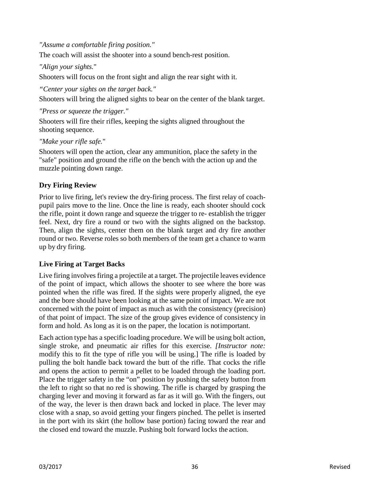*"Assume a comfortable firing position."*

The coach will assist the shooter into a sound bench-rest position.

# *"Align your sights.*"

Shooters will focus on the front sight and align the rear sight with it.

*"Center your sights on the target back."*

Shooters will bring the aligned sights to bear on the center of the blank target.

*"Press or squeeze the trigger."*

Shooters will fire their rifles, keeping the sights aligned throughout the shooting sequence.

*"Make your rifle safe.*"

Shooters will open the action, clear any ammunition, place the safety in the "safe" position and ground the rifle on the bench with the action up and the muzzle pointing down range.

# **Dry Firing Review**

Prior to live firing, let's review the dry-firing process. The first relay of coachpupil pairs move to the line. Once the line is ready, each shooter should cock the rifle, point it down range and squeeze the trigger to re- establish the trigger feel. Next, dry fire a round or two with the sights aligned on the backstop. Then, align the sights, center them on the blank target and dry fire another round or two. Reverse roles so both members of the team get a chance to warm up by dry firing.

# **Live Firing at Target Backs**

Live firing involves firing a projectile at a target. The projectile leaves evidence of the point of impact, which allows the shooter to see where the bore was pointed when the rifle was fired. If the sights were properly aligned, the eye and the bore should have been looking at the same point of impact. We are not concerned with the point of impact as much as with the consistency (precision) of that point of impact. The size of the group gives evidence of consistency in form and hold. As long as it is on the paper, the location is notimportant.

Each action type has a specific loading procedure. We will be using bolt action, single stroke, and pneumatic air rifles for this exercise. *[Instructor note:*  modify this to fit the type of rifle you will be using.] The rifle is loaded by pulling the bolt handle back toward the butt of the rifle. That cocks the rifle and opens the action to permit a pellet to be loaded through the loading port. Place the trigger safety in the "on" position by pushing the safety button from the left to right so that no red is showing. The rifle is charged by grasping the charging lever and moving it forward as far as it will go. With the fingers, out of the way, the lever is then drawn back and locked in place. The lever may close with a snap, so avoid getting your fingers pinched. The pellet is inserted in the port with its skirt (the hollow base portion) facing toward the rear and the closed end toward the muzzle. Pushing bolt forward locks the action.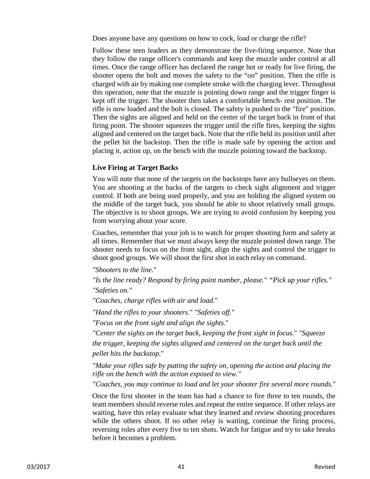Does anyone have any questions on how to cock, load or charge the rifle?

Follow these teen leaders as they demonstrate the five-firing sequence. Note that they follow the range officer's commands and keep the muzzle under control at all times. Once the range officer has declared the range hot or ready for live firing, the shooter opens the bolt and moves the safety to the "on" position. Then the rifle is charged with air by making one complete stroke with the charging lever. Throughout this operation, note that the muzzle is pointing down range and the trigger finger is kept off the trigger. The shooter then takes a comfortable bench- rest position. The rifle is now loaded and the bolt is closed. The safety is pushed to the "fire" position. Then the sights are aligned and held on the center of the target back in front of that firing point. The shooter squeezes the trigger until the rifle fires, keeping the sights aligned and centered on the target back. Note that the rifle held its position until after the pellet hit the backstop. Then the rifle is made safe by opening the action and placing it, action up, on the bench with the muzzle pointing toward the backstop.

# **Live Firing at Target Backs**

You will note that none of the targets on the backstops have any bullseyes on them. You are shooting at the backs of the targets to check sight alignment and trigger control. If both are being used properly, and you are holding the aligned system on the middle of the target back, you should be able to shoot relatively small groups. The objective is to shoot groups. We are trying to avoid confusion by keeping you from worrying about your score.

Coaches, remember that your job is to watch for proper shooting form and safety at all times. Remember that we must always keep the muzzle pointed down range. The shooter needs to focus on the front sight, align the sights and control the trigger to shoot good groups. We will shoot the first shot in each relay on command.

*"Shooters to the line.*"

*"Is the line ready? Respond by firing point number, please." "Pick up your rifles." "Safeties on."*

*"Coaches, charge rifles with air and load.*"

*"Hand the rifles to your shooters.*" *"Safeties off."* 

*"Focus on the front sight and align the sights.*"

*"Center the sights on the target back, keeping the front sight in focus.*" *"Squeeze the trigger, keeping the sights aligned and centered on the target back until the pellet hits the backstop.*"

*"Make your rifles safe by putting the safety on, opening the action and placing the rifle on the bench with the action exposed to view."*

*"Coaches, you may continue to load and let your shooter fire several more rounds.*"

Once the first shooter in the team has had a chance to fire three to ten rounds, the team members should reverse roles and repeat the entire sequence. If other relays are waiting, have this relay evaluate what they learned and review shooting procedures while the others shoot. If no other relay is waiting, continue the firing process, reversing roles after every five to ten shots. Watch for fatigue and try to take breaks before it becomes a problem.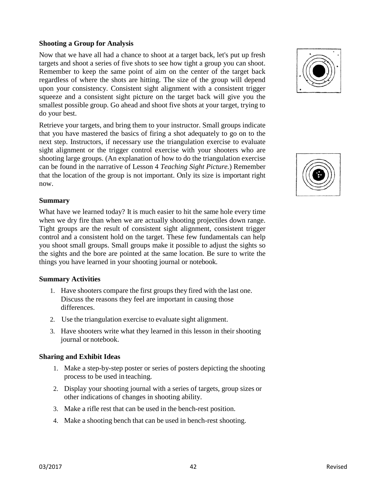# **Shooting a Group for Analysis**

Now that we have all had a chance to shoot at a target back, let's put up fresh targets and shoot a series of five shots to see how tight a group you can shoot. Remember to keep the same point of aim on the center of the target back regardless of where the shots are hitting. The size of the group will depend upon your consistency. Consistent sight alignment with a consistent trigger squeeze and a consistent sight picture on the target back will give you the smallest possible group. Go ahead and shoot five shots at your target, trying to do your best.

Retrieve your targets, and bring them to your instructor. Small groups indicate that you have mastered the basics of firing a shot adequately to go on to the next step. Instructors, if necessary use the triangulation exercise to evaluate sight alignment or the trigger control exercise with your shooters who are shooting large groups. (An explanation of how to do the triangulation exercise can be found in the narrative of Lesson 4 *Teaching Sight Picture.*) Remember that the location of the group is not important. Only its size is important right now.

# **Summary**

What have we learned today? It is much easier to hit the same hole every time when we dry fire than when we are actually shooting projectiles down range. Tight groups are the result of consistent sight alignment, consistent trigger control and a consistent hold on the target. These few fundamentals can help you shoot small groups. Small groups make it possible to adjust the sights so the sights and the bore are pointed at the same location. Be sure to write the things you have learned in your shooting journal or notebook.

# **Summary Activities**

- 1. Have shooters compare the first groups they fired with the last one. Discuss the reasons they feel are important in causing those differences.
- 2. Use the triangulation exercise to evaluate sight alignment.
- 3. Have shooters write what they learned in this lesson in their shooting journal or notebook.

- 1. Make a step-by-step poster or series of posters depicting the shooting process to be used in teaching.
- 2. Display your shooting journal with a series of targets, group sizes or other indications of changes in shooting ability.
- 3. Make a rifle rest that can be used in the bench-rest position.
- 4. Make a shooting bench that can be used in bench-rest shooting.



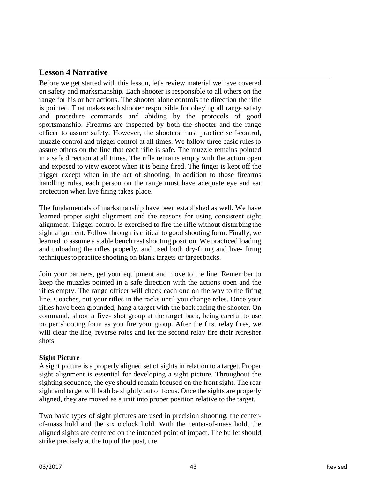# **Lesson 4 Narrative**

Before we get started with this lesson, let's review material we have covered on safety and marksmanship. Each shooter is responsible to all others on the range for his or her actions. The shooter alone controls the direction the rifle is pointed. That makes each shooter responsible for obeying all range safety and procedure commands and abiding by the protocols of good sportsmanship. Firearms are inspected by both the shooter and the range officer to assure safety. However, the shooters must practice self-control, muzzle control and trigger control at all times. We follow three basic rules to assure others on the line that each rifle is safe. The muzzle remains pointed in a safe direction at all times. The rifle remains empty with the action open and exposed to view except when it is being fired. The finger is kept off the trigger except when in the act of shooting. In addition to those firearms handling rules, each person on the range must have adequate eye and ear protection when live firing takes place.

The fundamentals of marksmanship have been established as well. We have learned proper sight alignment and the reasons for using consistent sight alignment. Trigger control is exercised to fire the rifle without disturbing the sight alignment. Follow through is critical to good shooting form. Finally, we learned to assume a stable bench rest shooting position. We practiced loading and unloading the rifles properly, and used both dry-firing and live- firing techniques to practice shooting on blank targets or target backs.

Join your partners, get your equipment and move to the line. Remember to keep the muzzles pointed in a safe direction with the actions open and the rifles empty. The range officer will check each one on the way to the firing line. Coaches, put your rifles in the racks until you change roles. Once your rifles have been grounded, hang a target with the back facing the shooter. On command, shoot a five- shot group at the target back, being careful to use proper shooting form as you fire your group. After the first relay fires, we will clear the line, reverse roles and let the second relay fire their refresher shots.

# **Sight Picture**

A sight picture is a properly aligned set of sights in relation to a target. Proper sight alignment is essential for developing a sight picture. Throughout the sighting sequence, the eye should remain focused on the front sight. The rear sight and target will both be slightly out of focus. Once the sights are properly aligned, they are moved as a unit into proper position relative to the target.

Two basic types of sight pictures are used in precision shooting, the centerof-mass hold and the six o'clock hold. With the center-of-mass hold, the aligned sights are centered on the intended point of impact. The bullet should strike precisely at the top of the post, the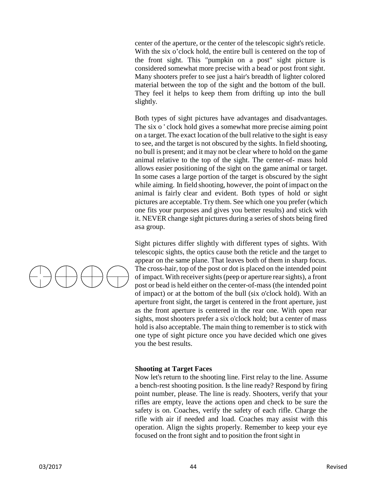center of the aperture, or the center of the telescopic sight's reticle. With the six o'clock hold, the entire bull is centered on the top of the front sight. This "pumpkin on a post" sight picture is considered somewhat more precise with a bead or post front sight. Many shooters prefer to see just a hair's breadth of lighter colored material between the top of the sight and the bottom of the bull. They feel it helps to keep them from drifting up into the bull slightly.

Both types of sight pictures have advantages and disadvantages. The six o ' clock hold gives a somewhat more precise aiming point on a target. The exact location of the bull relative to the sight is easy to see, and the target is not obscured by the sights. In field shooting, no bull is present; and it may not be clear where to hold on the game animal relative to the top of the sight. The center-of- mass hold allows easier positioning of the sight on the game animal or target. In some cases a large portion of the target is obscured by the sight while aiming. In field shooting, however, the point of impact on the animal is fairly clear and evident. Both types of hold or sight pictures are acceptable. Try them. See which one you prefer (which one fits your purposes and gives you better results) and stick with it. NEVER change sight pictures during a series of shots being fired asa group.

Sight pictures differ slightly with different types of sights. With telescopic sights, the optics cause both the reticle and the target to appear on the same plane. That leaves both of them in sharp focus. The cross-hair, top of the post or dot is placed on the intended point of impact. With receiversights(peep or aperture rearsights), a front post or bead is held either on the center-of-mass (the intended point of impact) or at the bottom of the bull (six o'clock hold). With an aperture front sight, the target is centered in the front aperture, just as the front aperture is centered in the rear one. With open rear sights, most shooters prefer a six o'clock hold; but a center of mass hold is also acceptable. The main thing to remember is to stick with one type of sight picture once you have decided which one gives you the best results.

#### **Shooting at Target Faces**

Now let's return to the shooting line. First relay to the line. Assume a bench-rest shooting position. Is the line ready? Respond by firing point number, please. The line is ready. Shooters, verify that your rifles are empty, leave the actions open and check to be sure the safety is on. Coaches, verify the safety of each rifle. Charge the rifle with air if needed and load. Coaches may assist with this operation. Align the sights properly. Remember to keep your eye focused on the front sight and to position the front sight in

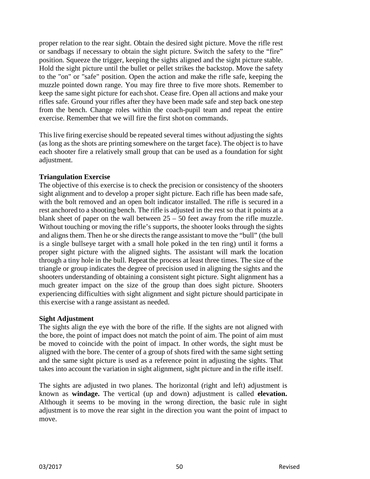proper relation to the rear sight. Obtain the desired sight picture. Move the rifle rest or sandbags if necessary to obtain the sight picture. Switch the safety to the "fire" position. Squeeze the trigger, keeping the sights aligned and the sight picture stable. Hold the sight picture until the bullet or pellet strikes the backstop. Move the safety to the "on" or "safe" position. Open the action and make the rifle safe, keeping the muzzle pointed down range. You may fire three to five more shots. Remember to keep the same sight picture for each shot. Cease fire. Open all actions and make your rifles safe. Ground your rifles after they have been made safe and step back one step from the bench. Change roles within the coach-pupil team and repeat the entire exercise. Remember that we will fire the first shot on commands.

This live firing exercise should be repeated several times without adjusting the sights (as long as the shots are printing somewhere on the target face). The object is to have each shooter fire a relatively small group that can be used as a foundation for sight adjustment.

# **Triangulation Exercise**

The objective of this exercise is to check the precision or consistency of the shooters sight alignment and to develop a proper sight picture. Each rifle has been made safe, with the bolt removed and an open bolt indicator installed. The rifle is secured in a rest anchored to a shooting bench. The rifle is adjusted in the rest so that it points at a blank sheet of paper on the wall between  $25 - 50$  feet away from the rifle muzzle. Without touching or moving the rifle's supports, the shooter looks through the sights and aligns them. Then he or she directs the range assistant to move the "bull" (the bull is a single bullseye target with a small hole poked in the ten ring) until it forms a proper sight picture with the aligned sights. The assistant will mark the location through a tiny hole in the bull. Repeat the process at least three times. The size of the triangle or group indicates the degree of precision used in aligning the sights and the shooters understanding of obtaining a consistent sight picture. Sight alignment has a much greater impact on the size of the group than does sight picture. Shooters experiencing difficulties with sight alignment and sight picture should participate in this exercise with a range assistant as needed.

# **Sight Adjustment**

The sights align the eye with the bore of the rifle. If the sights are not aligned with the bore, the point of impact does not match the point of aim. The point of aim must be moved to coincide with the point of impact. In other words, the sight must be aligned with the bore. The center of a group of shots fired with the same sight setting and the same sight picture is used as a reference point in adjusting the sights. That takes into account the variation in sight alignment, sight picture and in the rifle itself.

The sights are adjusted in two planes. The horizontal (right and left) adjustment is known as **windage.** The vertical (up and down) adjustment is called **elevation.**  Although it seems to be moving in the wrong direction, the basic rule in sight adjustment is to move the rear sight in the direction you want the point of impact to move.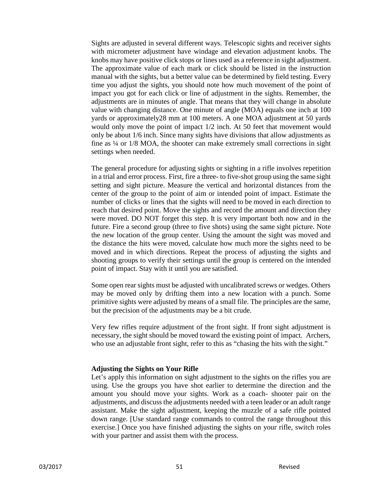Sights are adjusted in several different ways. Telescopic sights and receiver sights with micrometer adjustment have windage and elevation adjustment knobs. The knobs may have positive click stops or lines used as a reference in sight adjustment. The approximate value of each mark or click should be listed in the instruction manual with the sights, but a better value can be determined by field testing. Every time you adjust the sights, you should note how much movement of the point of impact you got for each click or line of adjustment in the sights. Remember, the adjustments are in minutes of angle. That means that they will change in absolute value with changing distance. One minute of angle (MOA) equals one inch at 100 yards or approximately28 mm at 100 meters. A one MOA adjustment at 50 yards would only move the point of impact 1/2 inch. At 50 feet that movement would only be about 1/6 inch. Since many sights have divisions that allow adjustments as fine as ¼ or 1/8 MOA, the shooter can make extremely small corrections in sight settings when needed.

The general procedure for adjusting sights or sighting in a rifle involves repetition in a trial and error process. First, fire a three- to five-shot group using the same sight setting and sight picture. Measure the vertical and horizontal distances from the center of the group to the point of aim or intended point of impact. Estimate the number of clicks or lines that the sights will need to be moved in each direction to reach that desired point. Move the sights and record the amount and direction they were moved. DO NOT forget this step. It is very important both now and in the future. Fire a second group (three to five shots) using the same sight picture. Note the new location of the group center. Using the amount the sight was moved and the distance the hits were moved, calculate how much more the sights need to be moved and in which directions. Repeat the process of adjusting the sights and shooting groups to verify their settings until the group is centered on the intended point of impact. Stay with it until you are satisfied.

Some open rear sights must be adjusted with uncalibrated screws or wedges. Others may be moved only by drifting them into a new location with a punch. Some primitive sights were adjusted by means of a small file. The principles are the same, but the precision of the adjustments may be a bit crude.

Very few rifles require adjustment of the front sight. If front sight adjustment is necessary, the sight should be moved toward the existing point of impact. Archers, who use an adjustable front sight, refer to this as "chasing the hits with the sight."

## **Adjusting the Sights on Your Rifle**

Let's apply this information on sight adjustment to the sights on the rifles you are using. Use the groups you have shot earlier to determine the direction and the amount you should move your sights. Work as a coach- shooter pair on the adjustments, and discuss the adjustments needed with a teen leader or an adult range assistant. Make the sight adjustment, keeping the muzzle of a safe rifle pointed down range. [Use standard range commands to control the range throughout this exercise.] Once you have finished adjusting the sights on your rifle, switch roles with your partner and assist them with the process.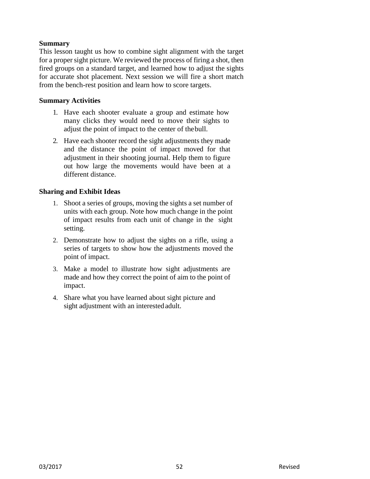# **Summary**

This lesson taught us how to combine sight alignment with the target for a proper sight picture. We reviewed the process of firing a shot, then fired groups on a standard target, and learned how to adjust the sights for accurate shot placement. Next session we will fire a short match from the bench-rest position and learn how to score targets.

# **Summary Activities**

- 1. Have each shooter evaluate a group and estimate how many clicks they would need to move their sights to adjust the point of impact to the center of thebull.
- 2. Have each shooter record the sight adjustments they made and the distance the point of impact moved for that adjustment in their shooting journal. Help them to figure out how large the movements would have been at a different distance.

- 1. Shoot a series of groups, moving the sights a set number of units with each group. Note how much change in the point of impact results from each unit of change in the sight setting.
- 2. Demonstrate how to adjust the sights on a rifle, using a series of targets to show how the adjustments moved the point of impact.
- 3. Make a model to illustrate how sight adjustments are made and how they correct the point of aim to the point of impact.
- 4. Share what you have learned about sight picture and sight adjustment with an interestedadult.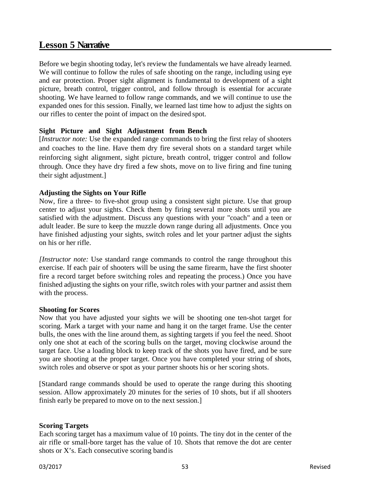# **Lesson 5 Narrative**

Before we begin shooting today, let's review the fundamentals we have already learned. We will continue to follow the rules of safe shooting on the range, including using eye and ear protection. Proper sight alignment is fundamental to development of a sight picture, breath control, trigger control, and follow through is essential for accurate shooting. We have learned to follow range commands, and we will continue to use the expanded ones for this session. Finally, we learned last time how to adjust the sights on our rifles to center the point of impact on the desired spot.

# **Sight Picture and Sight Adjustment from Bench**

[*Instructor note:* Use the expanded range commands to bring the first relay of shooters and coaches to the line. Have them dry fire several shots on a standard target while reinforcing sight alignment, sight picture, breath control, trigger control and follow through. Once they have dry fired a few shots, move on to live firing and fine tuning their sight adjustment.]

# **Adjusting the Sights on Your Rifle**

Now, fire a three- to five-shot group using a consistent sight picture. Use that group center to adjust your sights. Check them by firing several more shots until you are satisfied with the adjustment. Discuss any questions with your "coach" and a teen or adult leader. Be sure to keep the muzzle down range during all adjustments. Once you have finished adjusting your sights, switch roles and let your partner adjust the sights on his or her rifle.

*[Instructor note:* Use standard range commands to control the range throughout this exercise. If each pair of shooters will be using the same firearm, have the first shooter fire a record target before switching roles and repeating the process.) Once you have finished adjusting the sights on your rifle, switch roles with your partner and assist them with the process.

## **Shooting for Scores**

Now that you have adjusted your sights we will be shooting one ten-shot target for scoring. Mark a target with your name and hang it on the target frame. Use the center bulls, the ones with the line around them, as sighting targets if you feel the need. Shoot only one shot at each of the scoring bulls on the target, moving clockwise around the target face. Use a loading block to keep track of the shots you have fired, and be sure you are shooting at the proper target. Once you have completed your string of shots, switch roles and observe or spot as your partner shoots his or her scoring shots.

[Standard range commands should be used to operate the range during this shooting session. Allow approximately 20 minutes for the series of 10 shots, but if all shooters finish early be prepared to move on to the next session.]

## **Scoring Targets**

Each scoring target has a maximum value of 10 points. The tiny dot in the center of the air rifle or small-bore target has the value of 10. Shots that remove the dot are center shots or X's. Each consecutive scoring bandis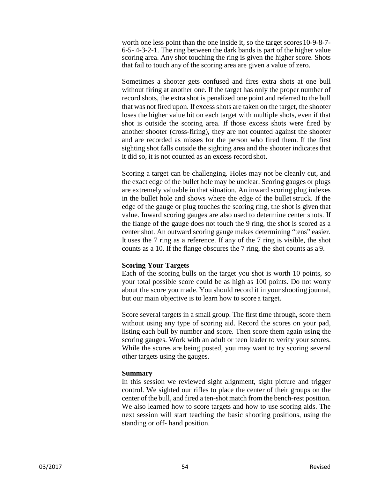worth one less point than the one inside it, so the target scores 10-9-8-7-6-5- 4-3-2-1. The ring between the dark bands is part of the higher value scoring area. Any shot touching the ring is given the higher score. Shots that fail to touch any of the scoring area are given a value of zero.

Sometimes a shooter gets confused and fires extra shots at one bull without firing at another one. If the target has only the proper number of record shots, the extra shot is penalized one point and referred to the bull that was not fired upon. If excess shots are taken on the target, the shooter loses the higher value hit on each target with multiple shots, even if that shot is outside the scoring area. If those excess shots were fired by another shooter (cross-firing), they are not counted against the shooter and are recorded as misses for the person who fired them. If the first sighting shot falls outside the sighting area and the shooter indicates that it did so, it is not counted as an excess record shot.

Scoring a target can be challenging. Holes may not be cleanly cut, and the exact edge of the bullet hole may be unclear. Scoring gauges or plugs are extremely valuable in that situation. An inward scoring plug indexes in the bullet hole and shows where the edge of the bullet struck. If the edge of the gauge or plug touches the scoring ring, the shot is given that value. Inward scoring gauges are also used to determine center shots. If the flange of the gauge does not touch the 9 ring, the shot is scored as a center shot. An outward scoring gauge makes determining "tens" easier. It uses the 7 ring as a reference. If any of the 7 ring is visible, the shot counts as a 10. If the flange obscures the 7 ring, the shot counts as a 9.

## **Scoring Your Targets**

Each of the scoring bulls on the target you shot is worth 10 points, so your total possible score could be as high as 100 points. Do not worry about the score you made. You should record it in your shooting journal, but our main objective is to learn how to score a target.

Score several targets in a small group. The first time through, score them without using any type of scoring aid. Record the scores on your pad, listing each bull by number and score. Then score them again using the scoring gauges. Work with an adult or teen leader to verify your scores. While the scores are being posted, you may want to try scoring several other targets using the gauges.

## **Summary**

In this session we reviewed sight alignment, sight picture and trigger control. We sighted our rifles to place the center of their groups on the center of the bull, and fired a ten-shot match from the bench-rest position. We also learned how to score targets and how to use scoring aids. The next session will start teaching the basic shooting positions, using the standing or off- hand position.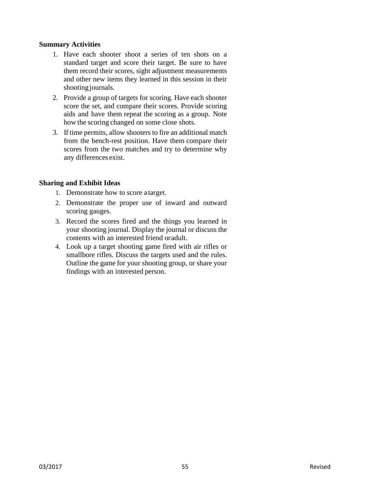## **Summary Activities**

- 1. Have each shooter shoot a series of ten shots on a standard target and score their target. Be sure to have them record their scores, sight adjustment measurements and other new items they learned in this session in their shooting journals.
- 2. Provide a group of targets for scoring. Have each shooter score the set, and compare their scores. Provide scoring aids and have them repeat the scoring as a group. Note how the scoring changed on some close shots.
- 3. If time permits, allow shooters to fire an additional match from the bench-rest position. Have them compare their scores from the two matches and try to determine why any differences exist.

- 1. Demonstrate how to score a target.
- 2. Demonstrate the proper use of inward and outward scoring gauges.
- 3. Record the scores fired and the things you learned in your shooting journal. Display the journal or discuss the contents with an interested friend oradult.
- 4. Look up a target shooting game fired with air rifles or smallbore rifles. Discuss the targets used and the rules. Outline the game for your shooting group, or share your findings with an interested person.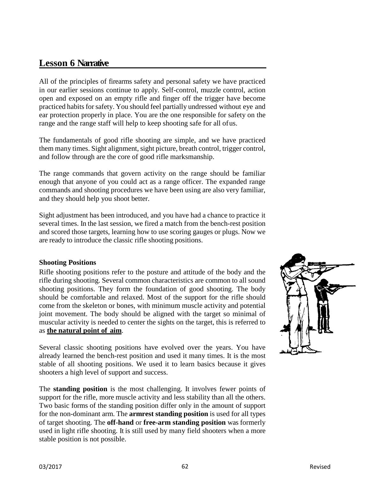# **Lesson 6 Narrative**

All of the principles of firearms safety and personal safety we have practiced in our earlier sessions continue to apply. Self-control, muzzle control, action open and exposed on an empty rifle and finger off the trigger have become practiced habits for safety. You should feel partially undressed without eye and ear protection properly in place. You are the one responsible for safety on the range and the range staff will help to keep shooting safe for all ofus.

The fundamentals of good rifle shooting are simple, and we have practiced them many times. Sight alignment, sight picture, breath control, trigger control, and follow through are the core of good rifle marksmanship.

The range commands that govern activity on the range should be familiar enough that anyone of you could act as a range officer. The expanded range commands and shooting procedures we have been using are also very familiar, and they should help you shoot better.

Sight adjustment has been introduced, and you have had a chance to practice it several times. In the last session, we fired a match from the bench-rest position and scored those targets, learning how to use scoring gauges or plugs. Now we are ready to introduce the classic rifle shooting positions.

## **Shooting Positions**

Rifle shooting positions refer to the posture and attitude of the body and the rifle during shooting. Several common characteristics are common to all sound shooting positions. They form the foundation of good shooting. The body should be comfortable and relaxed. Most of the support for the rifle should come from the skeleton or bones, with minimum muscle activity and potential joint movement. The body should be aligned with the target so minimal of muscular activity is needed to center the sights on the target, this is referred to as **the natural point of aim**.

Several classic shooting positions have evolved over the years. You have already learned the bench-rest position and used it many times. It is the most stable of all shooting positions. We used it to learn basics because it gives shooters a high level of support and success.

The **standing position** is the most challenging. It involves fewer points of support for the rifle, more muscle activity and less stability than all the others. Two basic forms of the standing position differ only in the amount of support for the non-dominant arm. The **armrest standing position** is used for all types of target shooting. The **off-hand** or **free-arm standing position** was formerly used in light rifle shooting. It is still used by many field shooters when a more stable position is not possible.

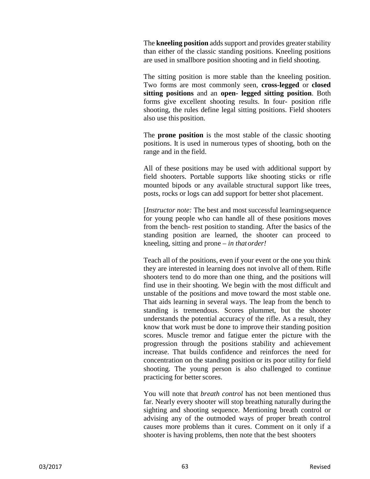The **kneeling position** adds support and provides greater stability than either of the classic standing positions. Kneeling positions are used in smallbore position shooting and in field shooting.

The sitting position is more stable than the kneeling position. Two forms are most commonly seen, **cross-legged** or **closed sitting positions** and an **open- legged sitting position**. Both forms give excellent shooting results. In four- position rifle shooting, the rules define legal sitting positions. Field shooters also use this position.

The **prone position** is the most stable of the classic shooting positions. It is used in numerous types of shooting, both on the range and in the field.

All of these positions may be used with additional support by field shooters. Portable supports like shooting sticks or rifle mounted bipods or any available structural support like trees, posts, rocks or logs can add support for better shot placement.

[*Instructor note:* The best and most successful learningsequence for young people who can handle all of these positions moves from the bench- rest position to standing. After the basics of the standing position are learned, the shooter can proceed to kneeling, sitting and prone – *in thatorder!*

Teach all of the positions, even if your event or the one you think they are interested in learning does not involve all of them. Rifle shooters tend to do more than one thing, and the positions will find use in their shooting. We begin with the most difficult and unstable of the positions and move toward the most stable one. That aids learning in several ways. The leap from the bench to standing is tremendous. Scores plummet, but the shooter understands the potential accuracy of the rifle. As a result, they know that work must be done to improve their standing position scores. Muscle tremor and fatigue enter the picture with the progression through the positions stability and achievement increase. That builds confidence and reinforces the need for concentration on the standing position or its poor utility for field shooting. The young person is also challenged to continue practicing for better scores.

You will note that *breath control* has not been mentioned thus far. Nearly every shooter will stop breathing naturally duringthe sighting and shooting sequence. Mentioning breath control or advising any of the outmoded ways of proper breath control causes more problems than it cures. Comment on it only if a shooter is having problems, then note that the best shooters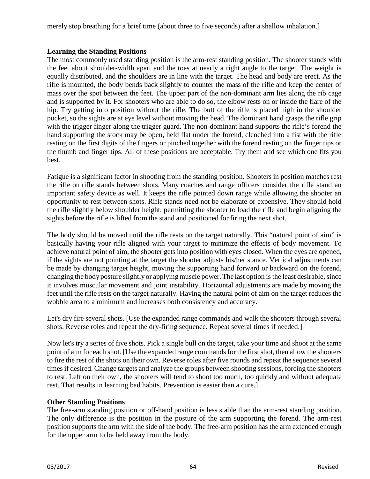merely stop breathing for a brief time (about three to five seconds) after a shallow inhalation.]

# **Learning the Standing Positions**

The most commonly used standing position is the arm-rest standing position. The shooter stands with the feet about shoulder-width apart and the toes at nearly a right angle to the target. The weight is equally distributed, and the shoulders are in line with the target. The head and body are erect. As the rifle is mounted, the body bends back slightly to counter the mass of the rifle and keep the center of mass over the spot between the feet. The upper part of the non-dominant arm lies along the rib cage and is supported by it. For shooters who are able to do so, the elbow rests on or inside the flare of the hip. Try getting into position without the rifle. The butt of the rifle is placed high in the shoulder pocket, so the sights are at eye level without moving the head. The dominant hand grasps the rifle grip with the trigger finger along the trigger guard. The non-dominant hand supports the rifle's forend the hand supporting the stock may be open, held flat under the forend, clenched into a fist with the rifle resting on the first digits of the fingers or pinched together with the forend resting on the finger tips or the thumb and finger tips. All of these positions are acceptable. Try them and see which one fits you best.

Fatigue is a significant factor in shooting from the standing position. Shooters in position matches rest the rifle on rifle stands between shots. Many coaches and range officers consider the rifle stand an important safety device as well. It keeps the rifle pointed down range while allowing the shooter an opportunity to rest between shots. Rifle stands need not be elaborate or expensive. They should hold the rifle slightly below shoulder height, permitting the shooter to load the rifle and begin aligning the sights before the rifle is lifted from the stand and positioned for firing the next shot.

The body should be moved until the rifle rests on the target naturally. This "natural point of aim" is basically having your rifle aligned with your target to minimize the effects of body movement. To achieve natural point of aim, the shooter gets into position with eyes closed. When the eyes are opened, if the sights are not pointing at the target the shooter adjusts his/her stance. Vertical adjustments can be made by changing target height, moving the supporting hand forward or backward on the forend, changing the body posture slightly or applying muscle power. The last option is the least desirable, since it involves muscular movement and joint instability. Horizontal adjustments are made by moving the feet until the rifle rests on the target naturally. Having the natural point of aim on the target reduces the wobble area to a minimum and increases both consistency and accuracy.

Let's dry fire several shots. [Use the expanded range commands and walk the shooters through several shots. Reverse roles and repeat the dry-firing sequence. Repeat several times if needed.]

Now let's try a series of five shots. Pick a single bull on the target, take your time and shoot at the same point of aim for each shot. [Use the expanded range commands for the first shot, then allow the shooters to fire the rest of the shots on their own. Reverse roles after five rounds and repeat the sequence several times if desired. Change targets and analyze the groups between shooting sessions, forcing the shooters to rest. Left on their own, the shooters will tend to shoot too much, too quickly and without adequate rest. That results in learning bad habits. Prevention is easier than a cure.]

# **Other Standing Positions**

The free-arm standing position or off-hand position is less stable than the arm-rest standing position. The only difference is the position in the posture of the arm supporting the forend. The arm-rest position supports the arm with the side of the body. The free-arm position has the arm extended enough for the upper arm to be held away from the body.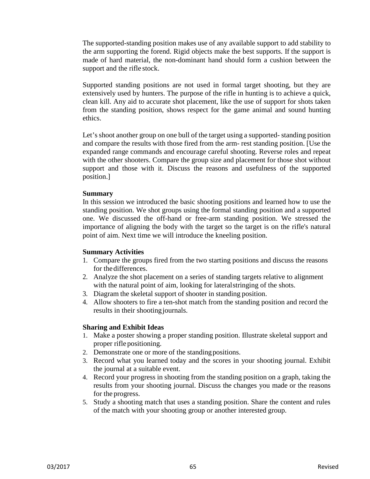The supported-standing position makes use of any available support to add stability to the arm supporting the forend. Rigid objects make the best supports. If the support is made of hard material, the non-dominant hand should form a cushion between the support and the rifle stock.

Supported standing positions are not used in formal target shooting, but they are extensively used by hunters. The purpose of the rifle in hunting is to achieve a quick, clean kill. Any aid to accurate shot placement, like the use of support for shots taken from the standing position, shows respect for the game animal and sound hunting ethics.

Let's shoot another group on one bull of the target using a supported-standing position and compare the results with those fired from the arm- rest standing position. [Use the expanded range commands and encourage careful shooting. Reverse roles and repeat with the other shooters. Compare the group size and placement for those shot without support and those with it. Discuss the reasons and usefulness of the supported position.]

#### **Summary**

In this session we introduced the basic shooting positions and learned how to use the standing position. We shot groups using the formal standing position and a supported one. We discussed the off-hand or free-arm standing position. We stressed the importance of aligning the body with the target so the target is on the rifle's natural point of aim. Next time we will introduce the kneeling position.

#### **Summary Activities**

- 1. Compare the groups fired from the two starting positions and discuss the reasons for thedifferences.
- 2. Analyze the shot placement on a series of standing targets relative to alignment with the natural point of aim, looking for lateralstringing of the shots.
- 3. Diagram the skeletal support of shooter in standing position.
- 4. Allow shooters to fire a ten-shot match from the standing position and record the results in their shooting journals.

- 1. Make a poster showing a proper standing position. Illustrate skeletal support and proper rifle positioning.
- 2. Demonstrate one or more of the standingpositions.
- 3. Record what you learned today and the scores in your shooting journal. Exhibit the journal at a suitable event.
- 4. Record your progress in shooting from the standing position on a graph, taking the results from your shooting journal. Discuss the changes you made or the reasons for the progress.
- 5. Study a shooting match that uses a standing position. Share the content and rules of the match with your shooting group or another interested group.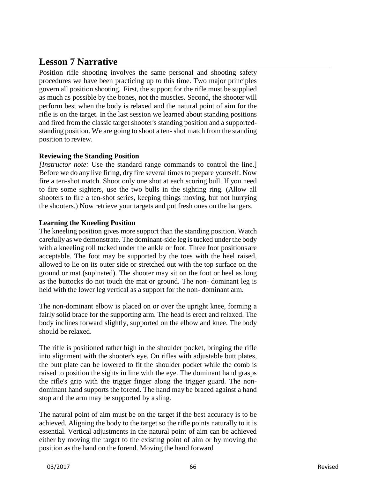# **Lesson 7 Narrative**

Position rifle shooting involves the same personal and shooting safety procedures we have been practicing up to this time. Two major principles govern all position shooting. First, the support for the rifle must be supplied as much as possible by the bones, not the muscles. Second, the shooter will perform best when the body is relaxed and the natural point of aim for the rifle is on the target. In the last session we learned about standing positions and fired from the classic target shooter's standing position and a supportedstanding position. We are going to shoot a ten- shot match from the standing position to review.

# **Reviewing the Standing Position**

*[Instructor note:* Use the standard range commands to control the line.] Before we do any live firing, dry fire several times to prepare yourself. Now fire a ten-shot match. Shoot only one shot at each scoring bull. If you need to fire some sighters, use the two bulls in the sighting ring. (Allow all shooters to fire a ten-shot series, keeping things moving, but not hurrying the shooters.) Now retrieve your targets and put fresh ones on the hangers.

# **Learning the Kneeling Position**

The kneeling position gives more support than the standing position. Watch carefully as we demonstrate. The dominant-side leg is tucked under the body with a kneeling roll tucked under the ankle or foot. Three foot positionsare acceptable. The foot may be supported by the toes with the heel raised, allowed to lie on its outer side or stretched out with the top surface on the ground or mat (supinated). The shooter may sit on the foot or heel as long as the buttocks do not touch the mat or ground. The non- dominant leg is held with the lower leg vertical as a support for the non- dominant arm.

The non-dominant elbow is placed on or over the upright knee, forming a fairly solid brace for the supporting arm. The head is erect and relaxed. The body inclines forward slightly, supported on the elbow and knee. The body should be relaxed.

The rifle is positioned rather high in the shoulder pocket, bringing the rifle into alignment with the shooter's eye. On rifles with adjustable butt plates, the butt plate can be lowered to fit the shoulder pocket while the comb is raised to position the sights in line with the eye. The dominant hand grasps the rifle's grip with the trigger finger along the trigger guard. The nondominant hand supports the forend. The hand may be braced against a hand stop and the arm may be supported by asling.

The natural point of aim must be on the target if the best accuracy is to be achieved. Aligning the body to the target so the rifle points naturally to it is essential. Vertical adjustments in the natural point of aim can be achieved either by moving the target to the existing point of aim or by moving the position as the hand on the forend. Moving the hand forward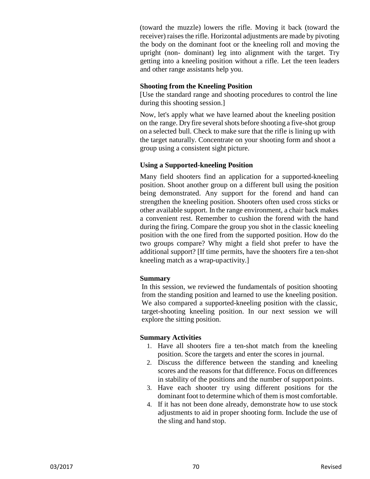(toward the muzzle) lowers the rifle. Moving it back (toward the receiver) raises the rifle. Horizontal adjustments are made by pivoting the body on the dominant foot or the kneeling roll and moving the upright (non- dominant) leg into alignment with the target. Try getting into a kneeling position without a rifle. Let the teen leaders and other range assistants help you.

#### **Shooting from the Kneeling Position**

[Use the standard range and shooting procedures to control the line during this shooting session.]

Now, let's apply what we have learned about the kneeling position on the range. Dry fire several shots before shooting a five-shot group on a selected bull. Check to make sure that the rifle is lining up with the target naturally. Concentrate on your shooting form and shoot a group using a consistent sight picture.

## **Using a Supported-kneeling Position**

Many field shooters find an application for a supported-kneeling position. Shoot another group on a different bull using the position being demonstrated. Any support for the forend and hand can strengthen the kneeling position. Shooters often used cross sticks or other available support. In the range environment, a chair back makes a convenient rest. Remember to cushion the forend with the hand during the firing. Compare the group you shot in the classic kneeling position with the one fired from the supported position. How do the two groups compare? Why might a field shot prefer to have the additional support? [If time permits, have the shooters fire a ten-shot kneeling match as a wrap-upactivity.]

# **Summary**

In this session, we reviewed the fundamentals of position shooting from the standing position and learned to use the kneeling position. We also compared a supported-kneeling position with the classic, target-shooting kneeling position. In our next session we will explore the sitting position.

# **Summary Activities**

- 1. Have all shooters fire a ten-shot match from the kneeling position. Score the targets and enter the scores in journal.
- 2. Discuss the difference between the standing and kneeling scores and the reasons for that difference. Focus on differences in stability of the positions and the number of support points.
- 3. Have each shooter try using different positions for the dominant foot to determine which of them is most comfortable.
- 4. If it has not been done already, demonstrate how to use stock adjustments to aid in proper shooting form. Include the use of the sling and hand stop.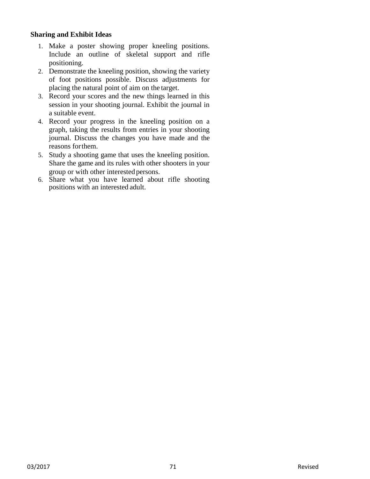- 1. Make a poster showing proper kneeling positions. Include an outline of skeletal support and rifle positioning.
- 2. Demonstrate the kneeling position, showing the variety of foot positions possible. Discuss adjustments for placing the natural point of aim on the target.
- 3. Record your scores and the new things learned in this session in your shooting journal. Exhibit the journal in a suitable event.
- 4. Record your progress in the kneeling position on a graph, taking the results from entries in your shooting journal. Discuss the changes you have made and the reasons forthem.
- 5. Study a shooting game that uses the kneeling position. Share the game and its rules with other shooters in your group or with other interested persons.
- 6. Share what you have learned about rifle shooting positions with an interested adult.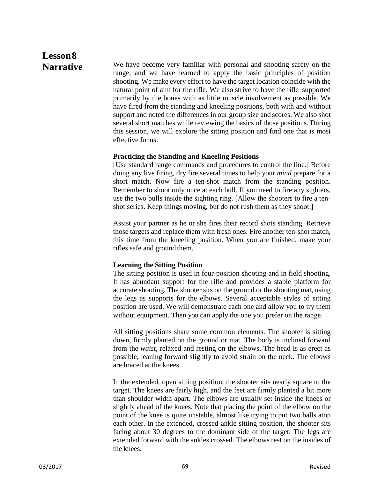# **Lesson8**

**Narrative** We have become very familiar with personal and shooting safety on the range, and we have learned to apply the basic principles of position shooting. We make every effort to have the target location coincide with the natural point of aim for the rifle. We also strive to have the rifle supported primarily by the bones with as little muscle involvement as possible. We have fired from the standing and kneeling positions, both with and without support and noted the differences in our group size and scores. We also shot several short matches while reviewing the basics of those positions. During this session, we will explore the sitting position and find one that is most effective for us.

# **Practicing the Standing and Kneeling Positions**

[Use standard range commands and procedures to control the line.] Before doing any live firing, dry fire several times to help your *mind* prepare for a short match. Now fire a ten-shot match from the standing position. Remember to shoot only once at each bull. If you need to fire any sighters, use the two bulls inside the sighting ring. [Allow the shooters to fire a tenshot series. Keep things moving, but do not rush them as they shoot.]

Assist your partner as he or she fires their record shots standing. Retrieve those targets and replace them with fresh ones. Fire another ten-shot match, this time from the kneeling position. When you are finished, make your rifles safe and ground them.

# **Learning the Sitting Position**

The sitting position is used in four-position shooting and in field shooting. It has abundant support for the rifle and provides a stable platform for accurate shooting. The shooter sits on the ground or the shooting mat, using the legs as supports for the elbows. Several acceptable styles of sitting position are used. We will demonstrate each one and allow you to try them without equipment. Then you can apply the one you prefer on the range.

All sitting positions share some common elements. The shooter is sitting down, firmly planted on the ground or mat. The body is inclined forward from the *waist,* relaxed and resting on the elbows. The head is as erect as possible, leaning forward slightly to avoid strain on the neck. The elbows are braced at the knees.

In the extended, open sitting position, the shooter sits nearly square to the target. The knees are fairly high, and the feet are firmly planted a bit more than shoulder width apart. The elbows are usually set inside the knees or slightly ahead of the knees. Note that placing the point of the elbow on the point of the knee is quite unstable, almost like trying to put two balls atop each other. In the extended, crossed-ankle sitting position, the shooter sits facing about 30 degrees to the dominant side of the target. The legs are extended forward with the ankles crossed. The elbows rest on the insides of the knees.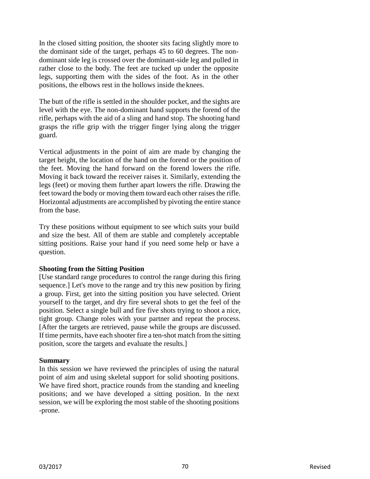In the closed sitting position, the shooter sits facing slightly more to the dominant side of the target, perhaps 45 to 60 degrees. The nondominant side leg is crossed over the dominant-side leg and pulled in rather close to the body. The feet are tucked up under the opposite legs, supporting them with the sides of the foot. As in the other positions, the elbows rest in the hollows inside theknees.

The butt of the rifle is settled in the shoulder pocket, and the sights are level with the eye. The non-dominant hand supports the forend of the rifle, perhaps with the aid of a sling and hand stop. The shooting hand grasps the rifle grip with the trigger finger lying along the trigger guard.

Vertical adjustments in the point of aim are made by changing the target height, the location of the hand on the forend or the position of the feet. Moving the hand forward on the forend lowers the rifle. Moving it back toward the receiver raises it. Similarly, extending the legs (feet) or moving them further apart lowers the rifle. Drawing the feet toward the body or moving them toward each other raises the rifle. Horizontal adjustments are accomplished by pivoting the entire stance from the base.

Try these positions without equipment to see which suits your build and size the best. All of them are stable and completely acceptable sitting positions. Raise your hand if you need some help or have a question.

## **Shooting from the Sitting Position**

[Use standard range procedures to control the range during this firing sequence.] Let's move to the range and try this new position by firing a group. First, get into the sitting position you have selected. Orient yourself to the target, and dry fire several shots to get the feel of the position. Select a single bull and fire five shots trying to shoot a nice, tight group. Change roles with your partner and repeat the process. [After the targets are retrieved, pause while the groups are discussed. If time permits, have each shooter fire a ten-shot match from the sitting position, score the targets and evaluate the results.]

#### **Summary**

In this session we have reviewed the principles of using the natural point of aim and using skeletal support for solid shooting positions. We have fired short, practice rounds from the standing and kneeling positions; and we have developed a sitting position. In the next session, we will be exploring the most stable of the shooting positions -prone.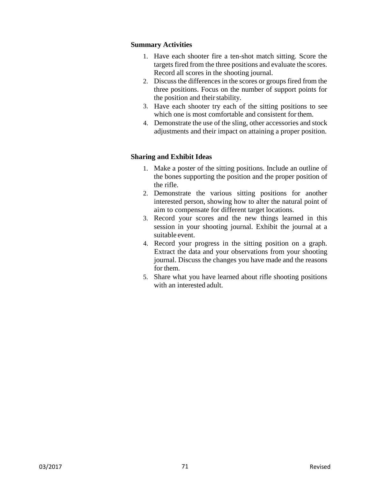## **Summary Activities**

- 1. Have each shooter fire a ten-shot match sitting. Score the targets fired from the three positions and evaluate the scores. Record all scores in the shooting journal.
- 2. Discuss the differences in the scores or groups fired from the three positions. Focus on the number of support points for the position and their stability.
- 3. Have each shooter try each of the sitting positions to see which one is most comfortable and consistent for them.
- 4. Demonstrate the use of the sling, other accessories and stock adjustments and their impact on attaining a proper position.

- 1. Make a poster of the sitting positions. Include an outline of the bones supporting the position and the proper position of the rifle.
- 2. Demonstrate the various sitting positions for another interested person, showing how to alter the natural point of aim to compensate for different target locations.
- 3. Record your scores and the new things learned in this session in your shooting journal. Exhibit the journal at a suitable event.
- 4. Record your progress in the sitting position on a graph. Extract the data and your observations from your shooting journal. Discuss the changes you have made and the reasons for them.
- 5. Share what you have learned about rifle shooting positions with an interested adult.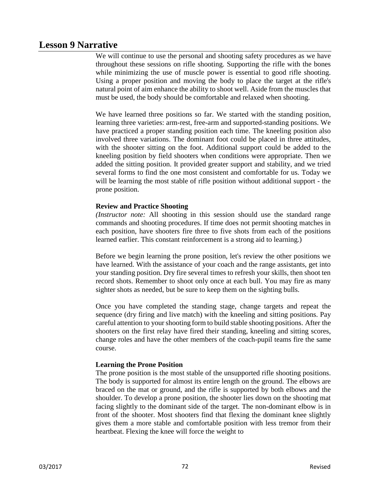# **Lesson 9 Narrative**

We will continue to use the personal and shooting safety procedures as we have throughout these sessions on rifle shooting. Supporting the rifle with the bones while minimizing the use of muscle power is essential to good rifle shooting. Using a proper position and moving the body to place the target at the rifle's natural point of aim enhance the ability to shoot well. Aside from the muscles that must be used, the body should be comfortable and relaxed when shooting.

We have learned three positions so far. We started with the standing position, learning three varieties: arm-rest, free-arm and supported-standing positions. We have practiced a proper standing position each time. The kneeling position also involved three variations. The dominant foot could be placed in three attitudes, with the shooter sitting on the foot. Additional support could be added to the kneeling position by field shooters when conditions were appropriate. Then we added the sitting position. It provided greater support and stability, and we tried several forms to find the one most consistent and comfortable for us. Today we will be learning the most stable of rifle position without additional support - the prone position.

# **Review and Practice Shooting**

*(Instructor note:* All shooting in this session should use the standard range commands and shooting procedures. If time does not permit shooting matches in each position, have shooters fire three to five shots from each of the positions learned earlier. This constant reinforcement is a strong aid to learning.)

Before we begin learning the prone position, let's review the other positions we have learned. With the assistance of your coach and the range assistants, get into your standing position. Dry fire several times to refresh your skills, then shoot ten record shots. Remember to shoot only once at each bull. You may fire as many sighter shots as needed, but be sure to keep them on the sighting bulls.

Once you have completed the standing stage, change targets and repeat the sequence (dry firing and live match) with the kneeling and sitting positions. Pay careful attention to yourshooting form to build stable shooting positions. After the shooters on the first relay have fired their standing, kneeling and sitting scores, change roles and have the other members of the coach-pupil teams fire the same course.

## **Learning the Prone Position**

The prone position is the most stable of the unsupported rifle shooting positions. The body is supported for almost its entire length on the ground. The elbows are braced on the mat or ground, and the rifle is supported by both elbows and the shoulder. To develop a prone position, the shooter lies down on the shooting mat facing slightly to the dominant side of the target. The non-dominant elbow is in front of the shooter. Most shooters find that flexing the dominant knee slightly gives them a more stable and comfortable position with less tremor from their heartbeat. Flexing the knee will force the weight to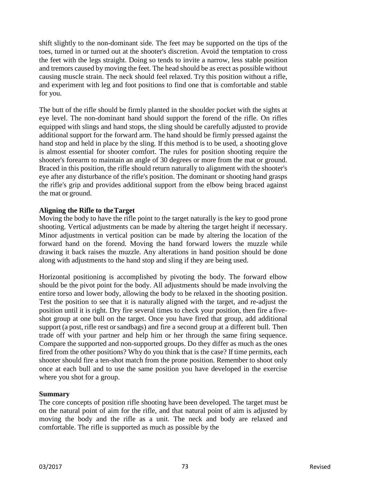shift slightly to the non-dominant side. The feet may be supported on the tips of the toes, turned in or turned out at the shooter's discretion. Avoid the temptation to cross the feet with the legs straight. Doing so tends to invite a narrow, less stable position and tremors caused by moving the feet. The head should be as erect as possible without causing muscle strain. The neck should feel relaxed. Try this position without a rifle, and experiment with leg and foot positions to find one that is comfortable and stable for you.

The butt of the rifle should be firmly planted in the shoulder pocket with the sights at eye level. The non-dominant hand should support the forend of the rifle. On rifles equipped with slings and hand stops, the sling should be carefully adjusted to provide additional support for the forward arm. The hand should be firmly pressed against the hand stop and held in place by the sling. If this method is to be used, a shooting glove is almost essential for shooter comfort. The rules for position shooting require the shooter's forearm to maintain an angle of 30 degrees or more from the mat or ground. Braced in this position, the rifle should return naturally to alignment with the shooter's eye after any disturbance of the rifle's position. The dominant or shooting hand grasps the rifle's grip and provides additional support from the elbow being braced against the mat or ground.

## **Aligning the Rifle to theTarget**

Moving the body to have the rifle point to the target naturally is the key to good prone shooting. Vertical adjustments can be made by altering the target height if necessary. Minor adjustments in vertical position can be made by altering the location of the forward hand on the forend. Moving the hand forward lowers the muzzle while drawing it back raises the muzzle. Any alterations in hand position should be done along with adjustments to the hand stop and sling if they are being used.

Horizontal positioning is accomplished by pivoting the body. The forward elbow should be the pivot point for the body. All adjustments should be made involving the entire torso and lower body, allowing the body to be relaxed in the shooting position. Test the position to see that it is naturally aligned with the target, and re-adjust the position until it is right. Dry fire several times to check your position, then fire a fiveshot group at one bull on the target. Once you have fired that group, add additional support (a post, rifle rest or sandbags) and fire a second group at a different bull. Then trade off with your partner and help him or her through the same firing sequence. Compare the supported and non-supported groups. Do they differ as much as the ones fired from the other positions? Why do you think that is the case? If time permits, each shooter should fire a ten-shot match from the prone position. Remember to shoot only once at each bull and to use the same position you have developed in the exercise where you shot for a group.

## **Summary**

The core concepts of position rifle shooting have been developed. The target must be on the natural point of aim for the rifle, and that natural point of aim is adjusted by moving the body and the rifle as a unit. The neck and body are relaxed and comfortable. The rifle is supported as much as possible by the